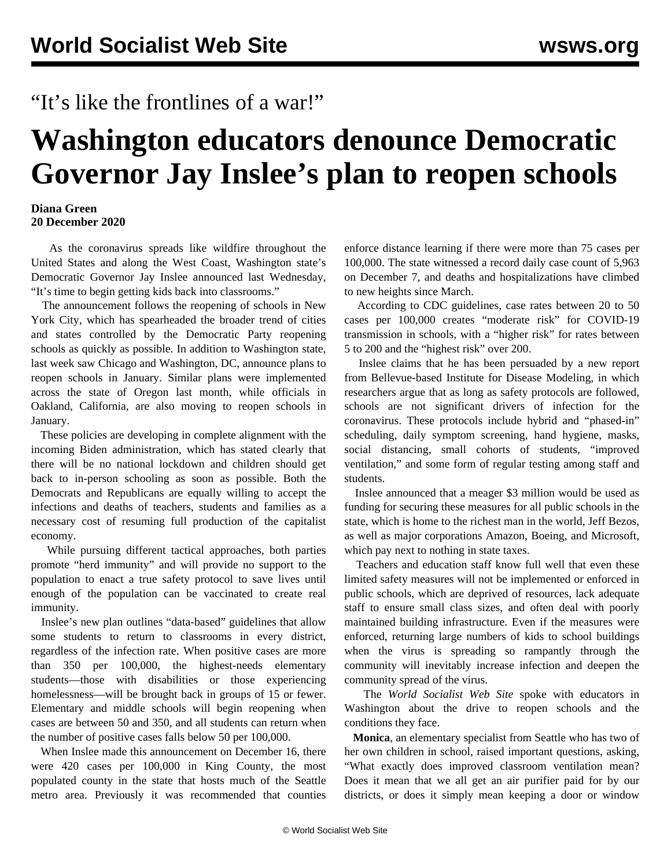## "It's like the frontlines of a war!"

## **Washington educators denounce Democratic Governor Jay Inslee's plan to reopen schools**

## **Diana Green 20 December 2020**

 As the coronavirus spreads like wildfire throughout the United States and along the West Coast, Washington state's Democratic Governor Jay Inslee announced last Wednesday, "It's time to begin getting kids back into classrooms."

 The announcement follows the reopening of schools in New York City, which has spearheaded the broader trend of cities and states controlled by the Democratic Party reopening schools as quickly as possible. In addition to Washington state, last week saw Chicago and Washington, DC, announce plans to reopen schools in January. Similar plans were implemented across the state of Oregon last month, while officials in Oakland, California, are also moving to reopen schools in January.

 These policies are developing in complete alignment with the incoming Biden administration, which has stated clearly that there will be no national lockdown and children should get back to in-person schooling as soon as possible. Both the Democrats and Republicans are equally willing to accept the infections and deaths of teachers, students and families as a necessary cost of resuming full production of the capitalist economy.

 While pursuing different tactical approaches, both parties promote "herd immunity" and will provide no support to the population to enact a true safety protocol to save lives until enough of the population can be vaccinated to create real immunity.

 Inslee's new plan outlines "data-based" guidelines that allow some students to return to classrooms in every district, regardless of the infection rate. When positive cases are more than 350 per 100,000, the highest-needs elementary students—those with disabilities or those experiencing homelessness—will be brought back in groups of 15 or fewer. Elementary and middle schools will begin reopening when cases are between 50 and 350, and all students can return when the number of positive cases falls below 50 per 100,000.

 When Inslee made this announcement on December 16, there were 420 cases per 100,000 in King County, the most populated county in the state that hosts much of the Seattle metro area. Previously it was recommended that counties enforce distance learning if there were more than 75 cases per 100,000. The state witnessed a record daily case count of 5,963 on December 7, and deaths and hospitalizations have climbed to new heights since March.

 According to CDC guidelines, case rates between 20 to 50 cases per 100,000 creates "moderate risk" for COVID-19 transmission in schools, with a "higher risk" for rates between 5 to 200 and the "highest risk" over 200.

 Inslee claims that he has been persuaded by a new report from Bellevue-based Institute for Disease Modeling, in which researchers argue that as long as safety protocols are followed, schools are not significant drivers of infection for the coronavirus. These protocols include hybrid and "phased-in" scheduling, daily symptom screening, hand hygiene, masks, social distancing, small cohorts of students, "improved ventilation," and some form of regular testing among staff and students.

 Inslee announced that a meager \$3 million would be used as funding for securing these measures for all public schools in the state, which is home to the richest man in the world, Jeff Bezos, as well as major corporations Amazon, Boeing, and Microsoft, which pay next to nothing in state taxes.

 Teachers and education staff know full well that even these limited safety measures will not be implemented or enforced in public schools, which are deprived of resources, lack adequate staff to ensure small class sizes, and often deal with poorly maintained building infrastructure. Even if the measures were enforced, returning large numbers of kids to school buildings when the virus is spreading so rampantly through the community will inevitably increase infection and deepen the community spread of the virus.

 The *World Socialist Web Site* spoke with educators in Washington about the drive to reopen schools and the conditions they face.

 **Monica**, an elementary specialist from Seattle who has two of her own children in school, raised important questions, asking, "What exactly does improved classroom ventilation mean? Does it mean that we all get an air purifier paid for by our districts, or does it simply mean keeping a door or window